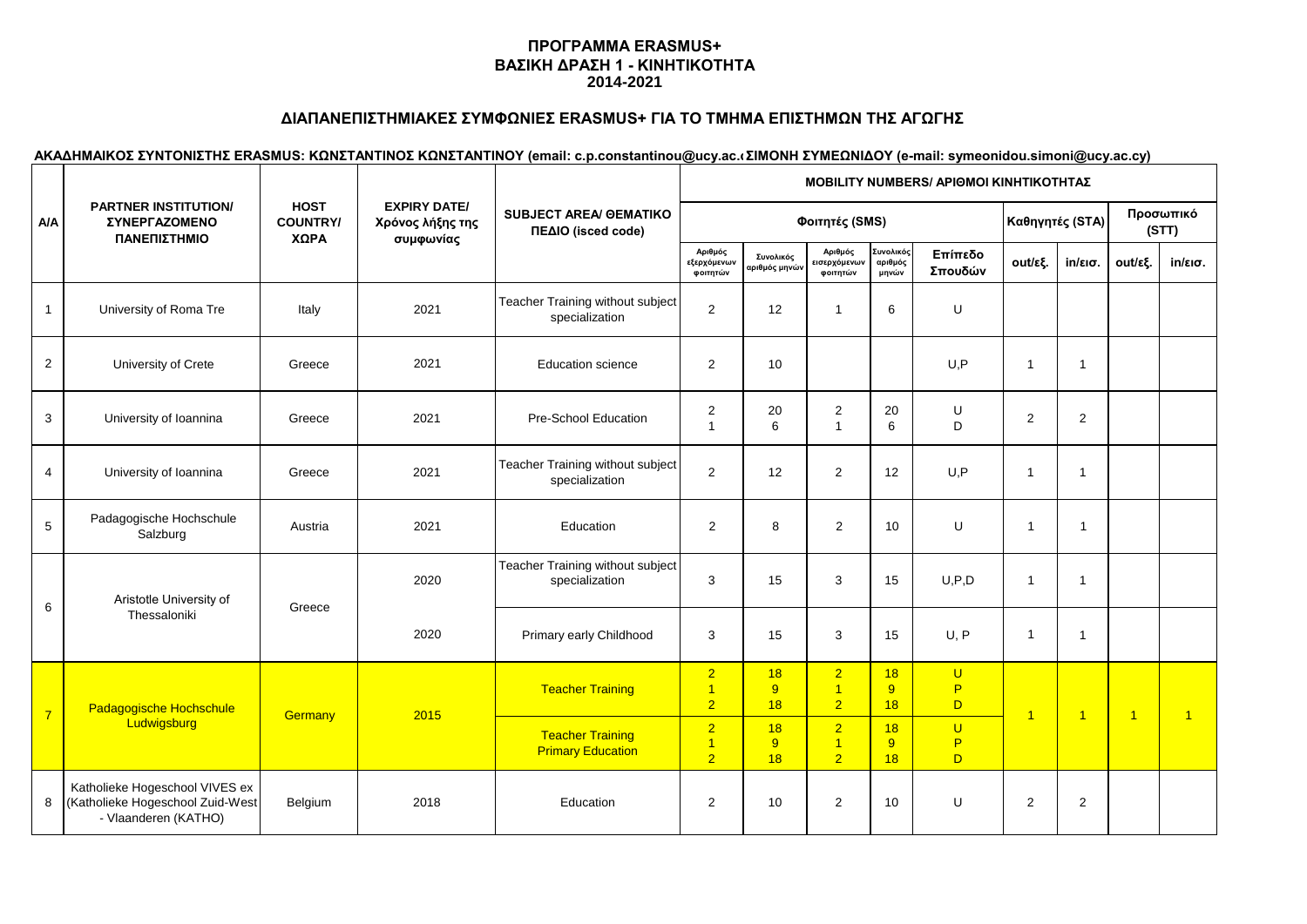## **ΔΙΑΠΑΝΕΠΙΣΤΗΜΙΑΚΕΣ ΣΥΜΦΩΝΙΕΣ ERASMUS+ ΓΙΑ ΤΟ ΤΜΗΜΑ ΕΠΙΣΤΗΜΩΝ ΤΗΣ ΑΓΩΓΗΣ**

|                | <b>PARTNER INSTITUTION/</b><br><b>ΣΥΝΕΡΓΑΖΟΜΕΝΟ</b><br>ΠΑΝΕΠΙΣΤΗΜΙΟ                        | <b>HOST</b><br><b>COUNTRY/</b><br>ΧΩΡΑ | <b>EXPIRY DATE/</b><br>Χρόνος λήξης της<br>συμφωνίας | <b>SUBJECT AREA/ GEMATIKO</b><br>ΠΕΔΙΟ (isced code) | MOBILITY NUMBERS/ APIOMOI ΚΙΝΗΤΙΚΟΤΗΤΑΣ |                                          |                                                    |                               |                          |                         |                   |                |                   |  |  |
|----------------|--------------------------------------------------------------------------------------------|----------------------------------------|------------------------------------------------------|-----------------------------------------------------|-----------------------------------------|------------------------------------------|----------------------------------------------------|-------------------------------|--------------------------|-------------------------|-------------------|----------------|-------------------|--|--|
| <b>A/A</b>     |                                                                                            |                                        |                                                      |                                                     |                                         | Καθηγητές (STA)                          |                                                    | Προσωπικό<br>(STT)            |                          |                         |                   |                |                   |  |  |
|                |                                                                                            |                                        |                                                      |                                                     | Αριθμός<br>εξερχόμενων<br>φοιτητών      | Συνολικός<br>αριθμός μηνώ <mark>ν</mark> | Αριθμός<br>εισερχόμεν <mark>ων</mark><br>φοιτητών  | Συνολικός<br>αριθμός<br>μηνών | Επίπεδο<br>Σπουδών       | out/εξ.                 | $in/\epsilon$ ισ. | out/εξ.        | $in/\epsilon$ ισ. |  |  |
| $\mathbf{1}$   | University of Roma Tre                                                                     | Italy                                  | 2021                                                 | Teacher Training without subject<br>specialization  | 2                                       | 12                                       | $\blacktriangleleft$                               | 6                             | U                        |                         |                   |                |                   |  |  |
| $\overline{2}$ | University of Crete                                                                        | Greece                                 | 2021                                                 | <b>Education science</b>                            | $\overline{2}$                          | 10                                       |                                                    |                               | U, P                     | $\mathbf{1}$            | $\overline{1}$    |                |                   |  |  |
| $\mathbf{3}$   | University of Ioannina                                                                     | Greece                                 | 2021                                                 | Pre-School Education                                | 2<br>$\overline{1}$                     | 20<br>6                                  | 2<br>$\overline{1}$                                | 20<br>6                       | U<br>D                   | $\overline{2}$          | $\mathbf{2}$      |                |                   |  |  |
| 4              | University of Ioannina                                                                     | Greece                                 | 2021                                                 | Teacher Training without subject<br>specialization  | $\overline{2}$                          | 12                                       | $\overline{2}$                                     | 12                            | U, P                     | $\overline{1}$          | $\overline{1}$    |                |                   |  |  |
| 5              | Padagogische Hochschule<br>Salzburg                                                        | Austria                                | 2021                                                 | Education                                           | $\overline{2}$                          | 8                                        | $\overline{2}$                                     | 10                            | U                        | $\overline{1}$          | $\overline{1}$    |                |                   |  |  |
| 6              | Aristotle University of                                                                    | Greece                                 | 2020                                                 | Teacher Training without subject<br>specialization  | 3                                       | 15                                       | 3                                                  | 15                            | U, P, D                  | 1                       | $\overline{1}$    |                |                   |  |  |
|                | Thessaloniki                                                                               |                                        | 2020                                                 | Primary early Childhood                             | 3                                       | 15                                       | 3                                                  | 15                            | U, P                     |                         | $\overline{1}$    |                |                   |  |  |
| $\overline{7}$ | Padagogische Hochschule                                                                    | Germany                                | 2015                                                 | <b>Teacher Training</b>                             | $\overline{2}$<br>1<br>$\overline{2}$   | 18<br>9<br>18                            | $\overline{2}$<br>$\overline{1}$<br>$\overline{2}$ | 18<br>9<br>18                 | $\cup$<br>P<br>D.        | $\overline{\mathbf{1}}$ | $\overline{1}$    | $\overline{1}$ | $\overline{1}$    |  |  |
|                | Ludwigsburg                                                                                |                                        |                                                      | <b>Teacher Training</b><br><b>Primary Education</b> | $\overline{2}$<br>1<br>$\overline{2}$   | 18<br>$\overline{9}$<br>18               | $\overline{2}$<br>$\overline{1}$<br>$\overline{2}$ | 18<br>9<br>18                 | $\overline{U}$<br>P<br>D |                         |                   |                |                   |  |  |
| 8              | Katholieke Hogeschool VIVES ex<br>(Katholieke Hogeschool Zuid-West<br>- Vlaanderen (KATHO) | Belgium                                | 2018                                                 | Education                                           | $\overline{2}$                          | 10                                       | 2                                                  | 10                            | U                        | 2                       | $\overline{2}$    |                |                   |  |  |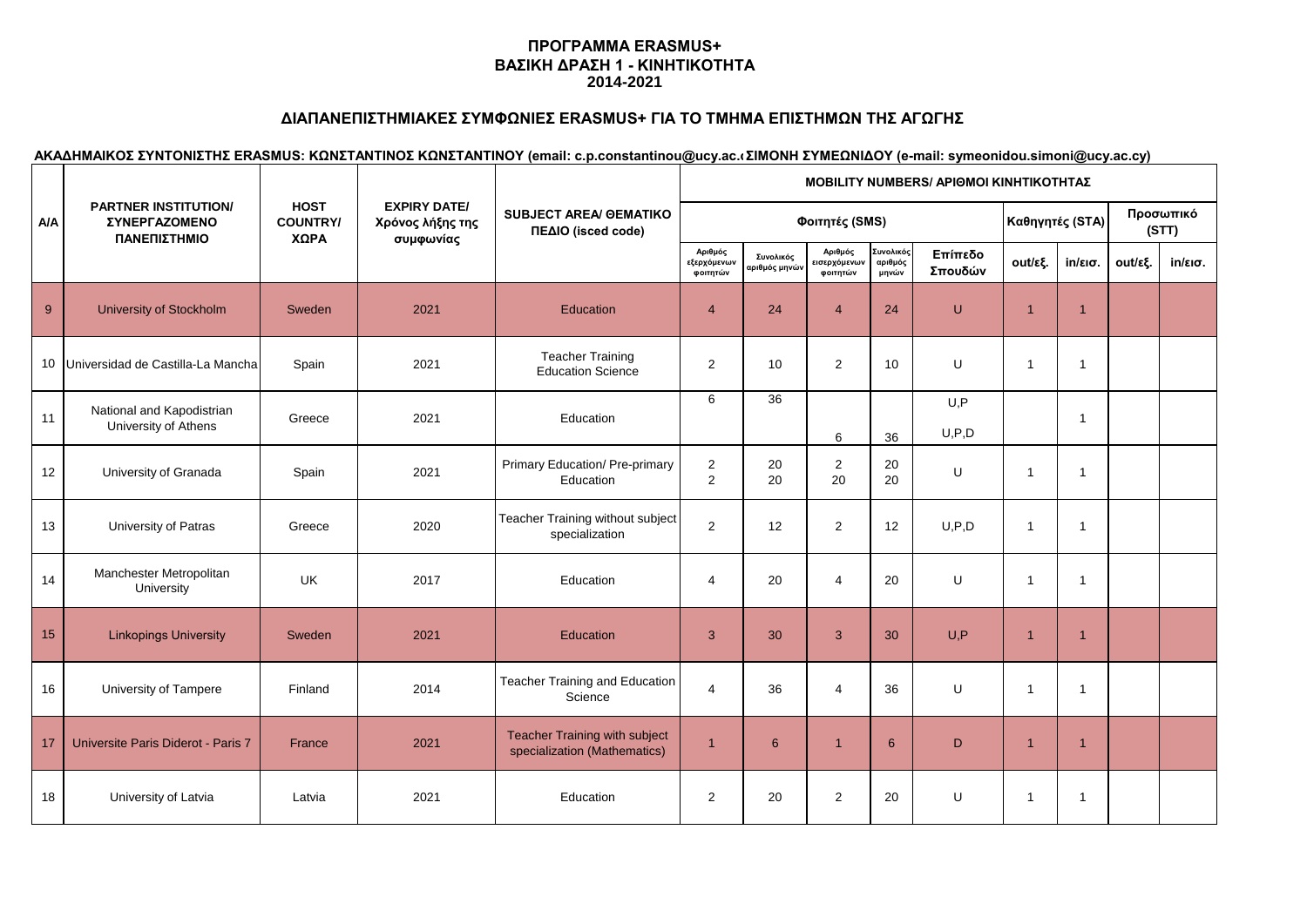## **ΔΙΑΠΑΝΕΠΙΣΤΗΜΙΑΚΕΣ ΣΥΜΦΩΝΙΕΣ ERASMUS+ ΓΙΑ ΤΟ ΤΜΗΜΑ ΕΠΙΣΤΗΜΩΝ ΤΗΣ ΑΓΩΓΗΣ**

|            | <b>PARTNER INSTITUTION/</b><br><b>ΣΥΝΕΡΓΑΖΟΜΕΝΟ</b><br>ΠΑΝΕΠΙΣΤΗΜΙΟ |                                        |                                                      | <b>SUBJECT AREA/ GEMATIKO</b><br>ΠΕΔΙΟ (isced code)                  | <b>MOBILITY NUMBERS/ APIOMOI KINHTIKOTHTAZ</b> |                            |                                     |                               |                    |                 |                   |                    |                   |  |  |
|------------|---------------------------------------------------------------------|----------------------------------------|------------------------------------------------------|----------------------------------------------------------------------|------------------------------------------------|----------------------------|-------------------------------------|-------------------------------|--------------------|-----------------|-------------------|--------------------|-------------------|--|--|
| <b>A/A</b> |                                                                     | <b>HOST</b><br><b>COUNTRY/</b><br>ΧΩΡΑ | <b>EXPIRY DATE/</b><br>Χρόνος λήξης της<br>συμφωνίας |                                                                      |                                                |                            | Φοιτητές (SMS)                      |                               |                    | Καθηγητές (STA) |                   | Προσωπικό<br>(STT) |                   |  |  |
|            |                                                                     |                                        |                                                      |                                                                      | Αριθμός<br>εξερχόμενων<br>φοιτητών             | Συνολικός<br>χριθμός μηνών | Αριθμός<br>εισερχόμενων<br>φοιτητών | Συνολικός<br>αριθμός<br>μηνών | Επίπεδο<br>Σπουδών | out/εξ.         | $in/\epsilon$ ισ. | out/εξ.            | $in/\epsilon$ ισ. |  |  |
| $9\,$      | <b>University of Stockholm</b>                                      | Sweden                                 | 2021                                                 | Education                                                            | $\overline{4}$                                 | 24                         | $\overline{4}$                      | 24                            | U                  | $\overline{1}$  | $\overline{1}$    |                    |                   |  |  |
|            | 10 Universidad de Castilla-La Mancha                                | Spain                                  | 2021                                                 | <b>Teacher Training</b><br><b>Education Science</b>                  | $\overline{2}$                                 | 10                         | $\overline{2}$                      | 10                            | U                  | $\overline{1}$  | $\overline{1}$    |                    |                   |  |  |
| 11         | National and Kapodistrian<br>University of Athens                   | Greece                                 | 2021                                                 | <b>Education</b>                                                     | 6                                              | 36                         | 6                                   | 36                            | U, P<br>U, P, D    |                 | $\overline{1}$    |                    |                   |  |  |
| 12         | University of Granada                                               | Spain                                  | 2021                                                 | Primary Education/ Pre-primary<br>Education                          | $\overline{a}$<br>2                            | 20<br>20                   | $\overline{a}$<br>20                | 20<br>20                      | U                  | -1              | $\overline{1}$    |                    |                   |  |  |
| 13         | University of Patras                                                | Greece                                 | 2020                                                 | Teacher Training without subject<br>specialization                   | $\overline{2}$                                 | 12                         | $\overline{2}$                      | 12                            | U, P, D            | $\overline{1}$  | $\overline{1}$    |                    |                   |  |  |
| 14         | Manchester Metropolitan<br>University                               | <b>UK</b>                              | 2017                                                 | Education                                                            | 4                                              | 20                         | $\overline{4}$                      | 20                            | U                  | $\overline{1}$  | $\overline{1}$    |                    |                   |  |  |
| 15         | <b>Linkopings University</b>                                        | Sweden                                 | 2021                                                 | Education                                                            | 3                                              | 30                         | 3                                   | 30                            | U, P               | $\overline{1}$  | $\overline{1}$    |                    |                   |  |  |
| 16         | University of Tampere                                               | Finland                                | 2014                                                 | Teacher Training and Education<br>Science                            | $\overline{4}$                                 | 36                         | 4                                   | 36                            | U                  | -1              | $\overline{1}$    |                    |                   |  |  |
| 17         | Universite Paris Diderot - Paris 7                                  | France                                 | 2021                                                 | <b>Teacher Training with subject</b><br>specialization (Mathematics) | $\overline{1}$                                 | 6                          | $\overline{1}$                      | $6\phantom{1}6$               | D                  | $\overline{1}$  | $\overline{1}$    |                    |                   |  |  |
| 18         | University of Latvia                                                | Latvia                                 | 2021                                                 | Education                                                            | 2                                              | 20                         | $\mathbf{2}$                        | 20                            | U                  | 1               | $\mathbf{1}$      |                    |                   |  |  |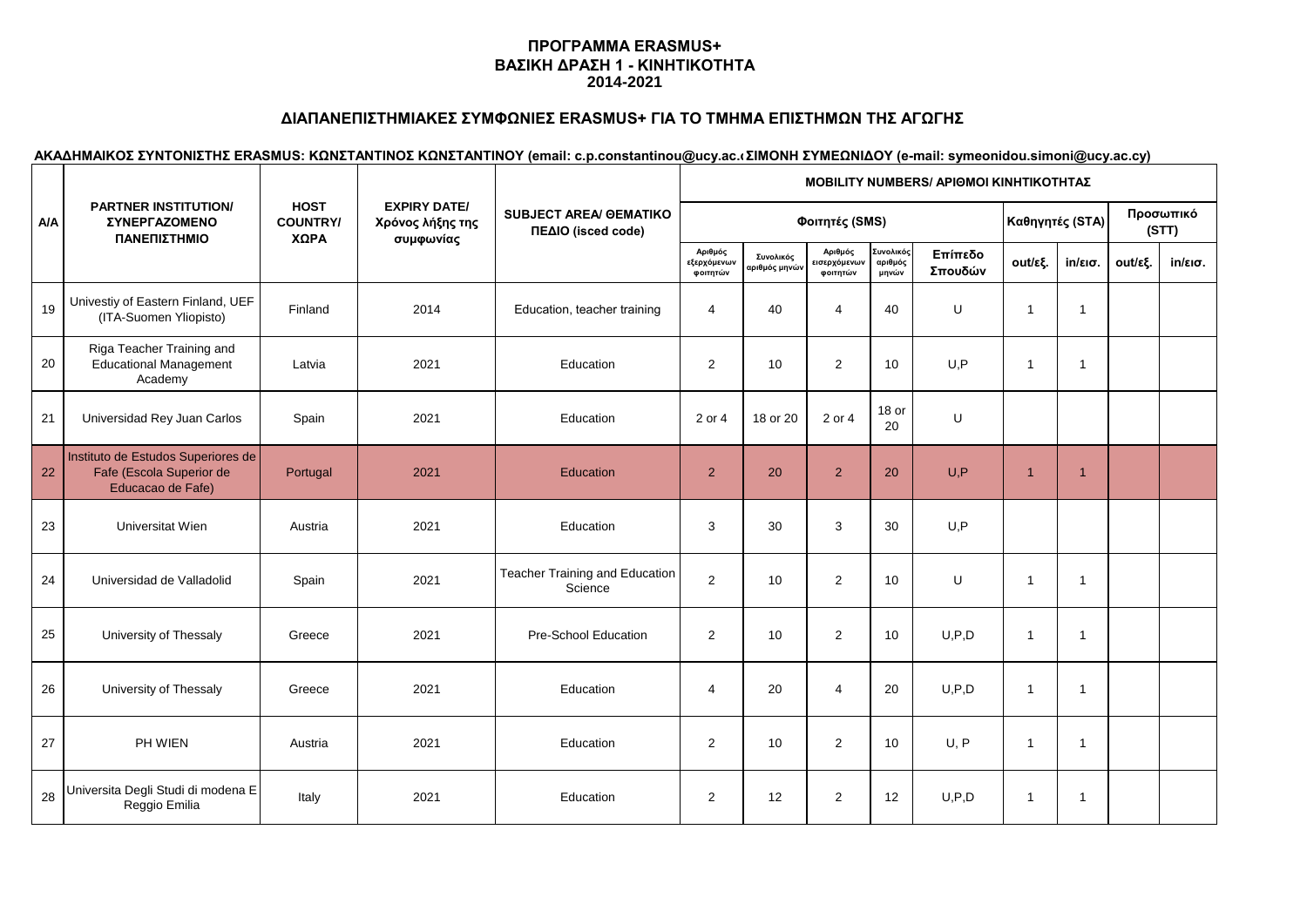# **ΔΙΑΠΑΝΕΠΙΣΤΗΜΙΑΚΕΣ ΣΥΜΦΩΝΙΕΣ ERASMUS+ ΓΙΑ ΤΟ ΤΜΗΜΑ ΕΠΙΣΤΗΜΩΝ ΤΗΣ ΑΓΩΓΗΣ**

|            | <b>PARTNER INSTITUTION/</b><br>ΣΥΝΕΡΓΑΖΟΜΕΝΟ<br>ΠΑΝΕΠΙΣΤΗΜΙΟ                        | <b>HOST</b><br><b>COUNTRY/</b><br>ΧΩΡΑ | <b>EXPIRY DATE/</b><br>Χρόνος λήξης της<br>συμφωνίας | <b>SUBJECT AREA/ GEMATIKO</b><br>ΠΕΔΙΟ (isced code) | MOBILITY NUMBERS/ APIOMOI ΚΙΝΗΤΙΚΟΤΗΤΑΣ |                            |                                            |                               |                    |                |                   |         |                    |  |  |
|------------|-------------------------------------------------------------------------------------|----------------------------------------|------------------------------------------------------|-----------------------------------------------------|-----------------------------------------|----------------------------|--------------------------------------------|-------------------------------|--------------------|----------------|-------------------|---------|--------------------|--|--|
| <b>A/A</b> |                                                                                     |                                        |                                                      |                                                     | Φοιτητές (SMS)                          |                            |                                            |                               |                    |                | Καθηγητές (STA)   |         | Προσωπικό<br>(STT) |  |  |
|            |                                                                                     |                                        |                                                      |                                                     | Αριθμός<br>εξερχόμενων<br>φοιτητών      | Συνολικός<br>αριθμός μηνών | Αριθμός<br><b>εισερχόμενων</b><br>φοιτητών | Συνολικός<br>αριθμός<br>μηνών | Επίπεδο<br>Σπουδών | out/εξ.        | $in/\epsilon$ ισ. | out/εξ. | $in/\epsilon$ ισ.  |  |  |
| 19         | Univestiy of Eastern Finland, UEF<br>(ITA-Suomen Yliopisto)                         | Finland                                | 2014                                                 | Education, teacher training                         | 4                                       | 40                         | 4                                          | 40                            | U                  | -1             | $\overline{1}$    |         |                    |  |  |
| 20         | Riga Teacher Training and<br><b>Educational Management</b><br>Academy               | Latvia                                 | 2021                                                 | Education                                           | $\overline{2}$                          | 10                         | $\overline{2}$                             | 10                            | U, P               | $\overline{1}$ | $\overline{1}$    |         |                    |  |  |
| 21         | Universidad Rey Juan Carlos                                                         | Spain                                  | 2021                                                 | Education                                           | 2 or 4                                  | 18 or 20                   | 2 or 4                                     | $18$ or<br>20                 | U                  |                |                   |         |                    |  |  |
| 22         | Instituto de Estudos Superiores de<br>Fafe (Escola Superior de<br>Educacao de Fafe) | Portugal                               | 2021                                                 | Education                                           | 2                                       | 20                         | 2                                          | 20                            | U.P                | $\overline{1}$ | $\overline{1}$    |         |                    |  |  |
| 23         | <b>Universitat Wien</b>                                                             | Austria                                | 2021                                                 | Education                                           | 3                                       | 30                         | 3                                          | 30                            | U.P                |                |                   |         |                    |  |  |
| 24         | Universidad de Valladolid                                                           | Spain                                  | 2021                                                 | Teacher Training and Education<br>Science           | 2                                       | 10                         | $\overline{2}$                             | 10                            | U                  | $\overline{1}$ | $\overline{1}$    |         |                    |  |  |
| 25         | University of Thessaly                                                              | Greece                                 | 2021                                                 | Pre-School Education                                | $\overline{2}$                          | 10                         | $\overline{2}$                             | 10                            | U, P, D            | $\overline{1}$ | $\overline{1}$    |         |                    |  |  |
| 26         | University of Thessaly                                                              | Greece                                 | 2021                                                 | Education                                           | 4                                       | 20                         | 4                                          | 20                            | U, P, D            | -1             | $\overline{1}$    |         |                    |  |  |
| 27         | PH WIEN                                                                             | Austria                                | 2021                                                 | Education                                           | 2                                       | 10                         | $\overline{2}$                             | 10                            | U, P               | $\mathbf{1}$   | $\overline{1}$    |         |                    |  |  |
| 28         | Universita Degli Studi di modena E<br>Reggio Emilia                                 | Italy                                  | 2021                                                 | Education                                           | 2                                       | 12                         | $\overline{2}$                             | 12                            | U, P, D            | -1             | $\overline{1}$    |         |                    |  |  |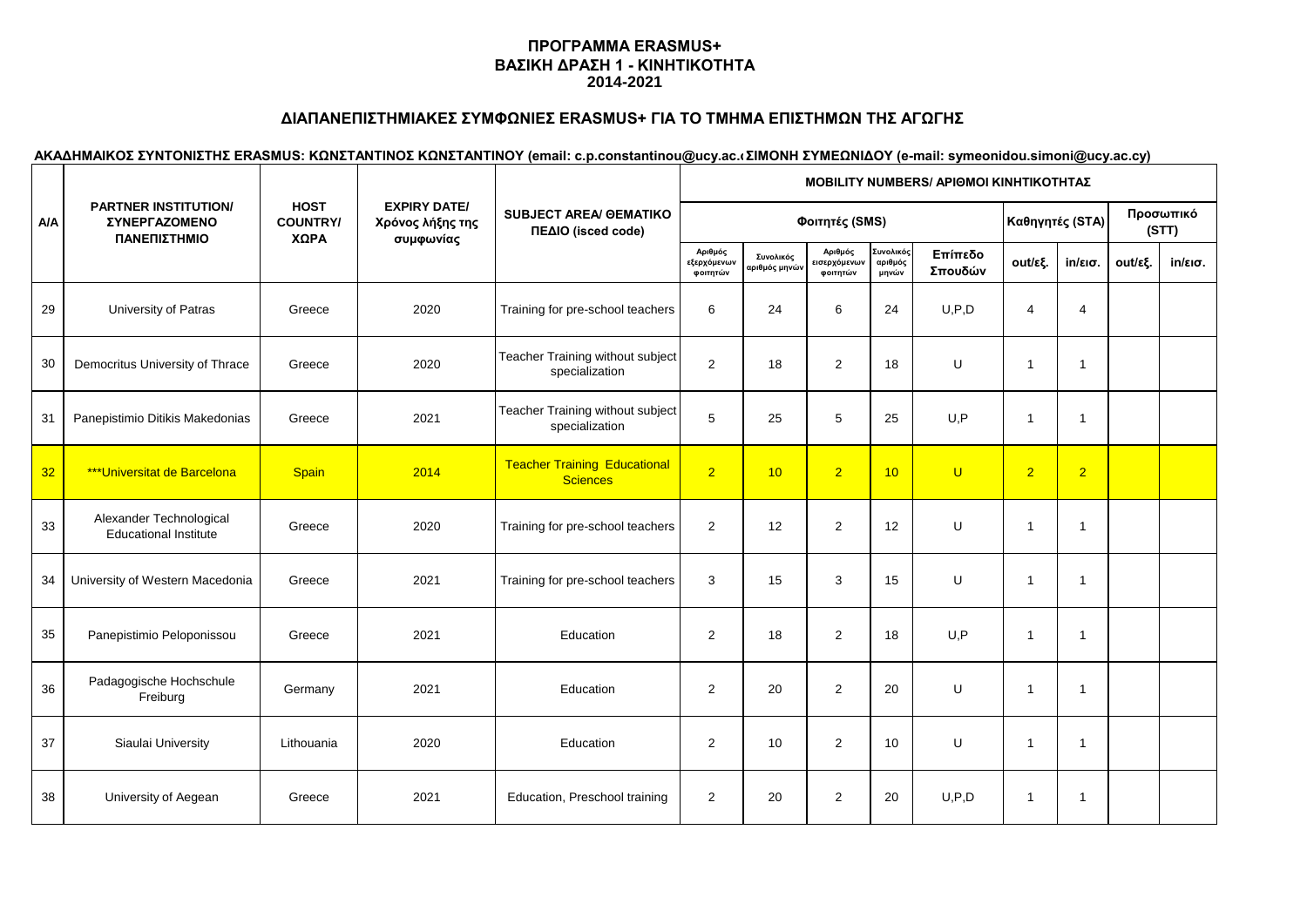# **ΔΙΑΠΑΝΕΠΙΣΤΗΜΙΑΚΕΣ ΣΥΜΦΩΝΙΕΣ ERASMUS+ ΓΙΑ ΤΟ ΤΜΗΜΑ ΕΠΙΣΤΗΜΩΝ ΤΗΣ ΑΓΩΓΗΣ**

|            |                                                                     | <b>HOST</b><br><b>COUNTRY/</b><br>ΧΩΡΑ | <b>EXPIRY DATE/</b><br>Χρόνος λήξης της<br>συμφωνίας | <b>SUBJECT AREA/ GEMATIKO</b><br>ΠΕΔΙΟ (isced code)    | <b>ΜΟΒΙLITY NUMBERS/ ΑΡΙΘΜΟΙ ΚΙΝΗΤΙΚΟΤΗΤΑΣ</b> |                            |                                    |                               |                    |                |                   |         |                   |  |  |
|------------|---------------------------------------------------------------------|----------------------------------------|------------------------------------------------------|--------------------------------------------------------|------------------------------------------------|----------------------------|------------------------------------|-------------------------------|--------------------|----------------|-------------------|---------|-------------------|--|--|
| <b>A/A</b> | <b>PARTNER INSTITUTION/</b><br><b>ΣΥΝΕΡΓΑΖΟΜΕΝΟ</b><br>ΠΑΝΕΠΙΣΤΗΜΙΟ |                                        |                                                      |                                                        |                                                |                            | Καθηγητές (STA)                    |                               | Προσωπικό<br>(STT) |                |                   |         |                   |  |  |
|            |                                                                     |                                        |                                                      |                                                        | Αριθμός<br>εξερχόμενων<br>φοιτητών             | Συνολικός<br>αριθμός μηνών | Αριθμός<br>ισερχόμενων<br>φοιτητών | Συνολικός<br>αριθμός<br>μηνών | Επίπεδο<br>Σπουδών | out/εξ.        | $in/\epsilon$ ισ. | out/εξ. | $in/\epsilon$ ισ. |  |  |
| 29         | University of Patras                                                | Greece                                 | 2020                                                 | Training for pre-school teachers                       | 6                                              | 24                         | 6                                  | 24                            | U, P, D            | $\overline{4}$ | $\overline{4}$    |         |                   |  |  |
| 30         | Democritus University of Thrace                                     | Greece                                 | 2020                                                 | Teacher Training without subject<br>specialization     | 2                                              | 18                         | $\overline{2}$                     | 18                            | U                  | $\mathbf{1}$   | $\overline{1}$    |         |                   |  |  |
| 31         | Panepistimio Ditikis Makedonias                                     | Greece                                 | 2021                                                 | Teacher Training without subject<br>specialization     | 5                                              | 25                         | 5                                  | 25                            | U, P               | $\mathbf 1$    | -1                |         |                   |  |  |
| 32         | <b>***Universitat de Barcelona</b>                                  | <b>Spain</b>                           | 2014                                                 | <b>Teacher Training Educational</b><br><b>Sciences</b> | $\overline{2}$                                 | 10                         | 2 <sup>1</sup>                     | 10                            | $\overline{U}$     | $\overline{2}$ | $\overline{2}$    |         |                   |  |  |
| 33         | Alexander Technological<br><b>Educational Institute</b>             | Greece                                 | 2020                                                 | Training for pre-school teachers                       | 2                                              | 12                         | $\overline{2}$                     | 12                            | U                  | $\mathbf{1}$   | $\overline{1}$    |         |                   |  |  |
| 34         | University of Western Macedonia                                     | Greece                                 | 2021                                                 | Training for pre-school teachers                       | 3                                              | 15                         | 3                                  | 15                            | U                  | $\mathbf{1}$   | $\overline{1}$    |         |                   |  |  |
| 35         | Panepistimio Peloponissou                                           | Greece                                 | 2021                                                 | Education                                              | 2                                              | 18                         | $\overline{2}$                     | 18                            | U.P                | $\mathbf{1}$   | $\overline{1}$    |         |                   |  |  |
| 36         | Padagogische Hochschule<br>Freiburg                                 | Germany                                | 2021                                                 | Education                                              | 2                                              | 20                         | 2                                  | 20                            | U                  | $\mathbf 1$    | $\overline{1}$    |         |                   |  |  |
| 37         | Siaulai University                                                  | Lithouania                             | 2020                                                 | Education                                              | 2                                              | 10                         | $\overline{2}$                     | 10                            | U                  | $\mathbf{1}$   | $\overline{1}$    |         |                   |  |  |
| 38         | University of Aegean                                                | Greece                                 | 2021                                                 | Education, Preschool training                          | 2                                              | 20                         | 2                                  | 20                            | U, P, D            | $\mathbf{1}$   | $\overline{1}$    |         |                   |  |  |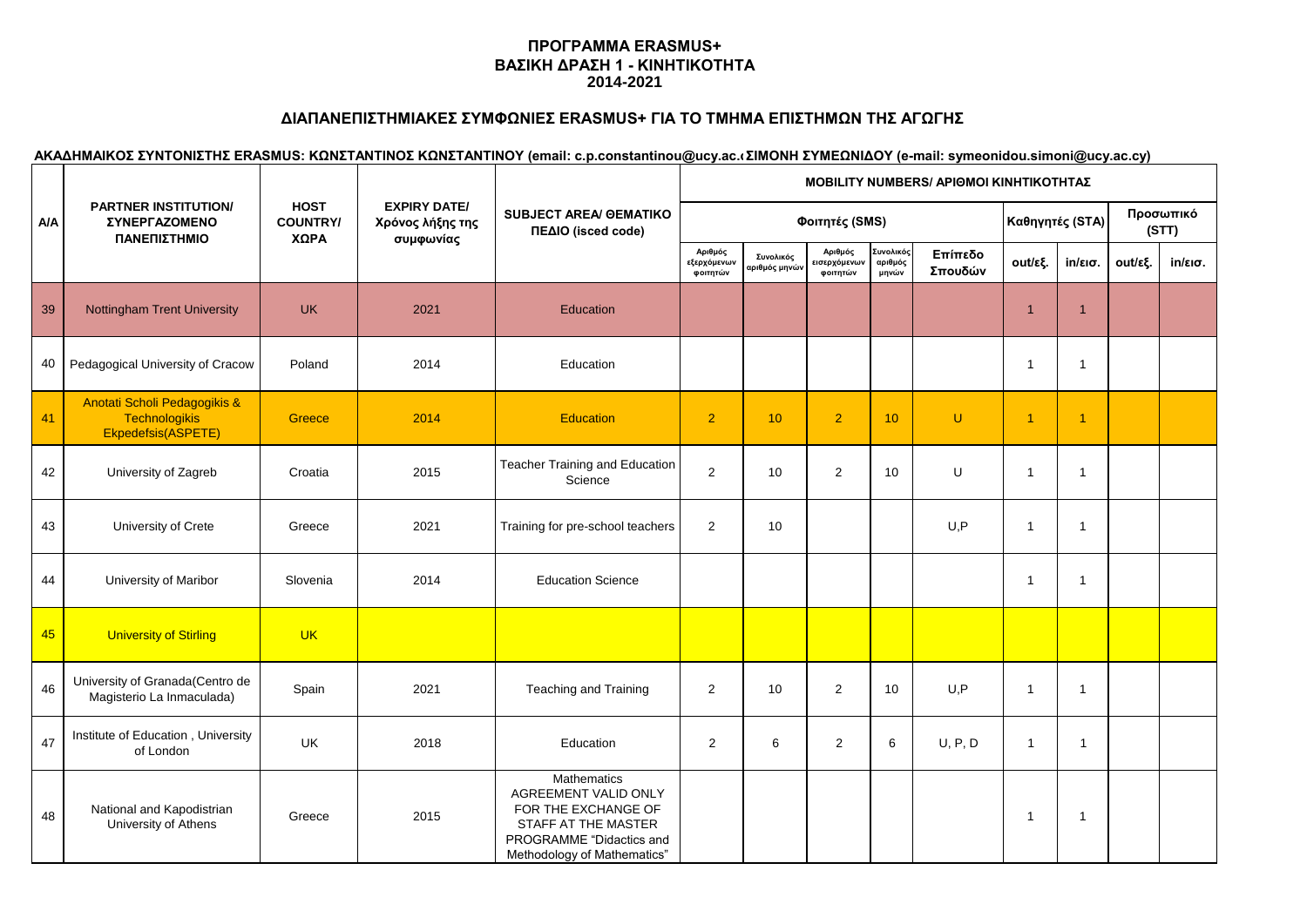# **ΔΙΑΠΑΝΕΠΙΣΤΗΜΙΑΚΕΣ ΣΥΜΦΩΝΙΕΣ ERASMUS+ ΓΙΑ ΤΟ ΤΜΗΜΑ ΕΠΙΣΤΗΜΩΝ ΤΗΣ ΑΓΩΓΗΣ**

|            | <b>PARTNER INSTITUTION/</b><br><b>ΣΥΝΕΡΓΑΖΟΜΕΝΟ</b><br>ΠΑΝΕΠΙΣΤΗΜΙΟ        |                                        |                                                      | <b>SUBJECT AREA/ GEMATIKO</b><br>ΠΕΔΙΟ (isced code)                                                                                          | <b>MOBILITY NUMBERS/ ΑΡΙΘΜΟΙ ΚΙΝΗΤΙΚΟΤΗΤΑΣ</b> |                                         |                                     |                                    |                    |                |                   |         |                    |  |
|------------|----------------------------------------------------------------------------|----------------------------------------|------------------------------------------------------|----------------------------------------------------------------------------------------------------------------------------------------------|------------------------------------------------|-----------------------------------------|-------------------------------------|------------------------------------|--------------------|----------------|-------------------|---------|--------------------|--|
| <b>A/A</b> |                                                                            | <b>HOST</b><br><b>COUNTRY/</b><br>ΧΩΡΑ | <b>EXPIRY DATE/</b><br>Χρόνος λήξης της<br>συμφωνίας |                                                                                                                                              | Φοιτητές (SMS)                                 |                                         |                                     |                                    |                    |                | Καθηγητές (STA)   |         | Προσωπικό<br>(STT) |  |
|            |                                                                            |                                        |                                                      |                                                                                                                                              | Αριθμός<br>εξερχόμενων<br>φοιτητών             | Συνολικός<br><mark>αριθμός μηνών</mark> | Αριθμός<br>εισερχόμενων<br>φοιτητών | .<br>Συνολικός<br>αριθμός<br>μηνών | Επίπεδο<br>Σπουδών | out/εξ.        | $in/\epsilon$ ισ. | out/εξ. | $in/\epsilon$ ισ.  |  |
| 39         | <b>Nottingham Trent University</b>                                         | <b>UK</b>                              | 2021                                                 | Education                                                                                                                                    |                                                |                                         |                                     |                                    |                    | 1              | $\overline{1}$    |         |                    |  |
| 40         | Pedagogical University of Cracow                                           | Poland                                 | 2014                                                 | Education                                                                                                                                    |                                                |                                         |                                     |                                    |                    | $\overline{1}$ | -1                |         |                    |  |
| 41         | Anotati Scholi Pedagogikis &<br><b>Technologikis</b><br>Ekpedefsis(ASPETE) | Greece                                 | 2014                                                 | <b>Education</b>                                                                                                                             | 2 <sup>1</sup>                                 | 10                                      | $\overline{2}$                      | 10                                 | U                  | $\overline{1}$ | $\overline{1}$    |         |                    |  |
| 42         | University of Zagreb                                                       | Croatia                                | 2015                                                 | Teacher Training and Education<br>Science                                                                                                    | $\overline{2}$                                 | 10                                      | $\overline{2}$                      | 10                                 | U                  | -1             | $\overline{1}$    |         |                    |  |
| 43         | University of Crete                                                        | Greece                                 | 2021                                                 | Training for pre-school teachers                                                                                                             | $\overline{2}$                                 | 10                                      |                                     |                                    | U, P               | $\mathbf 1$    | -1                |         |                    |  |
| 44         | University of Maribor                                                      | Slovenia                               | 2014                                                 | <b>Education Science</b>                                                                                                                     |                                                |                                         |                                     |                                    |                    |                | 1                 |         |                    |  |
| 45         | <b>University of Stirling</b>                                              | <b>UK</b>                              |                                                      |                                                                                                                                              |                                                |                                         |                                     |                                    |                    |                |                   |         |                    |  |
| 46         | University of Granada(Centro de<br>Magisterio La Inmaculada)               | Spain                                  | 2021                                                 | Teaching and Training                                                                                                                        | $\overline{2}$                                 | 10                                      | $\overline{2}$                      | 10                                 | U, P               | $\overline{1}$ | $\overline{1}$    |         |                    |  |
| 47         | Institute of Education, University<br>of London                            | UK                                     | 2018                                                 | Education                                                                                                                                    | $\overline{2}$                                 | 6                                       | $\overline{2}$                      | 6                                  | U, P, D            | $\mathbf{1}$   | 1                 |         |                    |  |
| 48         | National and Kapodistrian<br>University of Athens                          | Greece                                 | 2015                                                 | Mathematics<br>AGREEMENT VALID ONLY<br>FOR THE EXCHANGE OF<br>STAFF AT THE MASTER<br>PROGRAMME "Didactics and<br>Methodology of Mathematics" |                                                |                                         |                                     |                                    |                    |                | -1                |         |                    |  |